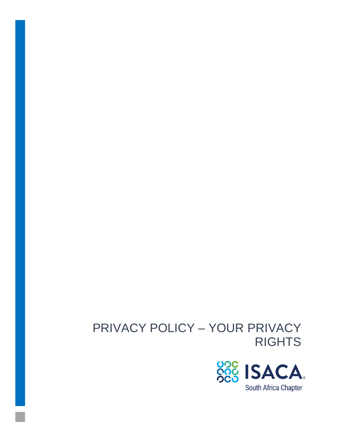# PRIVACY POLICY – YOUR PRIVACY **RIGHTS**

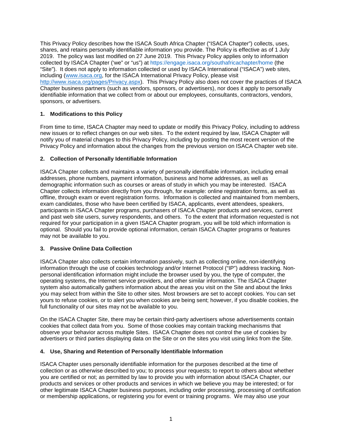This Privacy Policy describes how the ISACA South Africa Chapter ("ISACA Chapter") collects, uses, shares, and retains personally identifiable information you provide. The Policy is effective as of 1 July 2019. The policy was last modified on 27 June 2019. This Privacy Policy applies only to information collected by ISACA Chapter ('we" or "us") at https://engage.isaca.org/southafricachapter/home (the "Site"). It does not apply to information collected or used by ISACA International ("ISACA") web sites, including (www.isaca.org, for the ISACA International Privacy Policy, please visit http://www.isaca.org/pages/Privacy.aspx). This Privacy Policy also does not cover the practices of ISACA Chapter business partners (such as vendors, sponsors, or advertisers), nor does it apply to personally identifiable information that we collect from or about our employees, consultants, contractors, vendors, sponsors, or advertisers.

# **1. Modifications to this Policy**

From time to time, ISACA Chapter may need to update or modify this Privacy Policy, including to address new issues or to reflect changes on our web sites. To the extent required by law, ISACA Chapter will notify you of material changes to this Privacy Policy, including by posting the most recent version of the Privacy Policy and information about the changes from the previous version on ISACA Chapter web site.

# **2. Collection of Personally Identifiable Information**

ISACA Chapter collects and maintains a variety of personally identifiable information, including email addresses, phone numbers, payment information, business and home addresses, as well as demographic information such as courses or areas of study in which you may be interested. ISACA Chapter collects information directly from you through, for example: online registration forms, as well as offline, through exam or event registration forms. Information is collected and maintained from members, exam candidates, those who have been certified by ISACA, applicants, event attendees, speakers, participants in ISACA Chapter programs, purchasers of ISACA Chapter products and services, current and past web site users, survey respondents, and others. To the extent that information requested is not required for your participation in a given ISACA Chapter program, you will be told which information is optional. Should you fail to provide optional information, certain ISACA Chapter programs or features may not be available to you.

# **3. Passive Online Data Collection**

ISACA Chapter also collects certain information passively, such as collecting online, non-identifying information through the use of cookies technology and/or Internet Protocol ("IP") address tracking. Nonpersonal identification information might include the browser used by you, the type of computer, the operating systems, the Internet service providers, and other similar information. The ISACA Chapter system also automatically gathers information about the areas you visit on the Site and about the links you may select from within the Site to other sites. Most browsers are set to accept cookies. You can set yours to refuse cookies, or to alert you when cookies are being sent; however, if you disable cookies, the full functionality of our sites may not be available to you.

On the ISACA Chapter Site, there may be certain third-party advertisers whose advertisements contain cookies that collect data from you. Some of those cookies may contain tracking mechanisms that observe your behavior across multiple Sites. ISACA Chapter does not control the use of cookies by advertisers or third parties displaying data on the Site or on the sites you visit using links from the Site.

# **4. Use, Sharing and Retention of Personally Identifiable Information**

ISACA Chapter uses personally identifiable information for the purposes described at the time of collection or as otherwise described to you; to process your requests; to report to others about whether you are certified or not; as permitted by law to provide you with information about ISACA Chapter, our products and services or other products and services in which we believe you may be interested; or for other legitimate ISACA Chapter business purposes, including order processing, processing of certification or membership applications, or registering you for event or training programs. We may also use your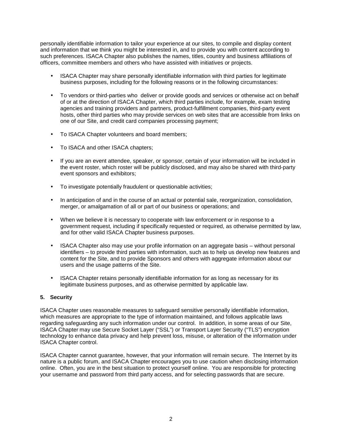personally identifiable information to tailor your experience at our sites, to compile and display content and information that we think you might be interested in, and to provide you with content according to such preferences. ISACA Chapter also publishes the names, titles, country and business affiliations of officers, committee members and others who have assisted with initiatives or projects.

- ISACA Chapter may share personally identifiable information with third parties for legitimate business purposes, including for the following reasons or in the following circumstances:
- To vendors or third-parties who deliver or provide goods and services or otherwise act on behalf of or at the direction of ISACA Chapter, which third parties include, for example, exam testing agencies and training providers and partners, product-fulfillment companies, third-party event hosts, other third parties who may provide services on web sites that are accessible from links on one of our Site, and credit card companies processing payment;
- To ISACA Chapter volunteers and board members;
- To ISACA and other ISACA chapters;
- If you are an event attendee, speaker, or sponsor, certain of your information will be included in the event roster, which roster will be publicly disclosed, and may also be shared with third-party event sponsors and exhibitors;
- To investigate potentially fraudulent or questionable activities;
- In anticipation of and in the course of an actual or potential sale, reorganization, consolidation, merger, or amalgamation of all or part of our business or operations; and
- When we believe it is necessary to cooperate with law enforcement or in response to a government request, including if specifically requested or required, as otherwise permitted by law, and for other valid ISACA Chapter business purposes.
- ISACA Chapter also may use your profile information on an aggregate basis without personal identifiers – to provide third parties with information, such as to help us develop new features and content for the Site, and to provide Sponsors and others with aggregate information about our users and the usage patterns of the Site.
- ISACA Chapter retains personally identifiable information for as long as necessary for its legitimate business purposes, and as otherwise permitted by applicable law.

# **5. Security**

ISACA Chapter uses reasonable measures to safeguard sensitive personally identifiable information, which measures are appropriate to the type of information maintained, and follows applicable laws regarding safeguarding any such information under our control. In addition, in some areas of our Site, ISACA Chapter may use Secure Socket Layer ("SSL") or Transport Layer Security ("TLS") encryption technology to enhance data privacy and help prevent loss, misuse, or alteration of the information under ISACA Chapter control.

ISACA Chapter cannot guarantee, however, that your information will remain secure. The Internet by its nature is a public forum, and ISACA Chapter encourages you to use caution when disclosing information online. Often, you are in the best situation to protect yourself online. You are responsible for protecting your username and password from third party access, and for selecting passwords that are secure.